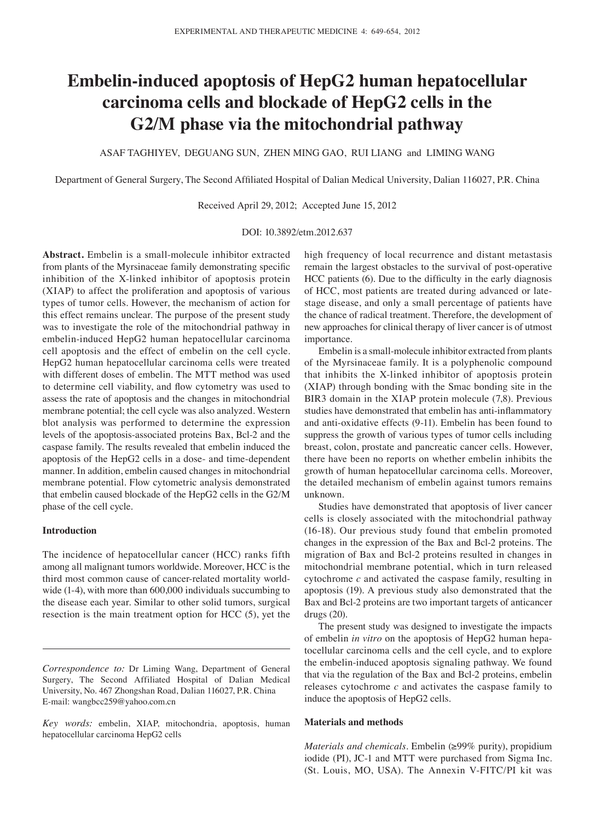# **Embelin-induced apoptosis of HepG2 human hepatocellular carcinoma cells and blockade of HepG2 cells in the G2/M phase via the mitochondrial pathway**

ASAF TAGHIYEV, DEGUANG SUN, ZHEN MING GAO, RUI LIANG and LIMING WANG

Department of General Surgery, The Second Affiliated Hospital of Dalian Medical University, Dalian 116027, P.R. China

Received April 29, 2012; Accepted June 15, 2012

### DOI: 10.3892/etm.2012.637

**Abstract.** Embelin is a small-molecule inhibitor extracted from plants of the Myrsinaceae family demonstrating specific inhibition of the X-linked inhibitor of apoptosis protein (XIAP) to affect the proliferation and apoptosis of various types of tumor cells. However, the mechanism of action for this effect remains unclear. The purpose of the present study was to investigate the role of the mitochondrial pathway in embelin-induced HepG2 human hepatocellular carcinoma cell apoptosis and the effect of embelin on the cell cycle. HepG2 human hepatocellular carcinoma cells were treated with different doses of embelin. The MTT method was used to determine cell viability, and flow cytometry was used to assess the rate of apoptosis and the changes in mitochondrial membrane potential; the cell cycle was also analyzed. Western blot analysis was performed to determine the expression levels of the apoptosis-associated proteins Bax, Bcl-2 and the caspase family. The results revealed that embelin induced the apoptosis of the HepG2 cells in a dose- and time-dependent manner. In addition, embelin caused changes in mitochondrial membrane potential. Flow cytometric analysis demonstrated that embelin caused blockade of the HepG2 cells in the G2/M phase of the cell cycle.

## **Introduction**

The incidence of hepatocellular cancer (HCC) ranks fifth among all malignant tumors worldwide. Moreover, HCC is the third most common cause of cancer-related mortality worldwide (1-4), with more than 600,000 individuals succumbing to the disease each year. Similar to other solid tumors, surgical resection is the main treatment option for HCC (5), yet the high frequency of local recurrence and distant metastasis remain the largest obstacles to the survival of post-operative HCC patients (6). Due to the difficulty in the early diagnosis of HCC, most patients are treated during advanced or latestage disease, and only a small percentage of patients have the chance of radical treatment. Therefore, the development of new approaches for clinical therapy of liver cancer is of utmost importance.

Embelin is a small-molecule inhibitor extracted from plants of the Myrsinaceae family. It is a polyphenolic compound that inhibits the X-linked inhibitor of apoptosis protein (XIAP) through bonding with the Smac bonding site in the BIR3 domain in the XIAP protein molecule (7,8). Previous studies have demonstrated that embelin has anti-inflammatory and anti-oxidative effects (9-11). Embelin has been found to suppress the growth of various types of tumor cells including breast, colon, prostate and pancreatic cancer cells. However, there have been no reports on whether embelin inhibits the growth of human hepatocellular carcinoma cells. Moreover, the detailed mechanism of embelin against tumors remains unknown.

Studies have demonstrated that apoptosis of liver cancer cells is closely associated with the mitochondrial pathway (16-18). Our previous study found that embelin promoted changes in the expression of the Bax and Bcl-2 proteins. The migration of Bax and Bcl-2 proteins resulted in changes in mitochondrial membrane potential, which in turn released cytochrome *c* and activated the caspase family, resulting in apoptosis (19). A previous study also demonstrated that the Bax and Bcl-2 proteins are two important targets of anticancer drugs (20).

The present study was designed to investigate the impacts of embelin *in vitro* on the apoptosis of HepG2 human hepatocellular carcinoma cells and the cell cycle, and to explore the embelin-induced apoptosis signaling pathway. We found that via the regulation of the Bax and Bcl-2 proteins, embelin releases cytochrome *c* and activates the caspase family to induce the apoptosis of HepG2 cells.

## **Materials and methods**

*Materials and chemicals.* Embelin (≥99% purity), propidium iodide (PI), JC-1 and MTT were purchased from Sigma Inc. (St. Louis, MO, USA). The Annexin V-FITC/PI kit was

*Correspondence to:* Dr Liming Wang, Department of General Surgery, The Second Affiliated Hospital of Dalian Medical University, No. 467 Zhongshan Road, Dalian 116027, P.R. China E-mail: wangbcc259@yahoo.com.cn

*Key words:* embelin, XIAP, mitochondria, apoptosis, human hepatocellular carcinoma HepG2 cells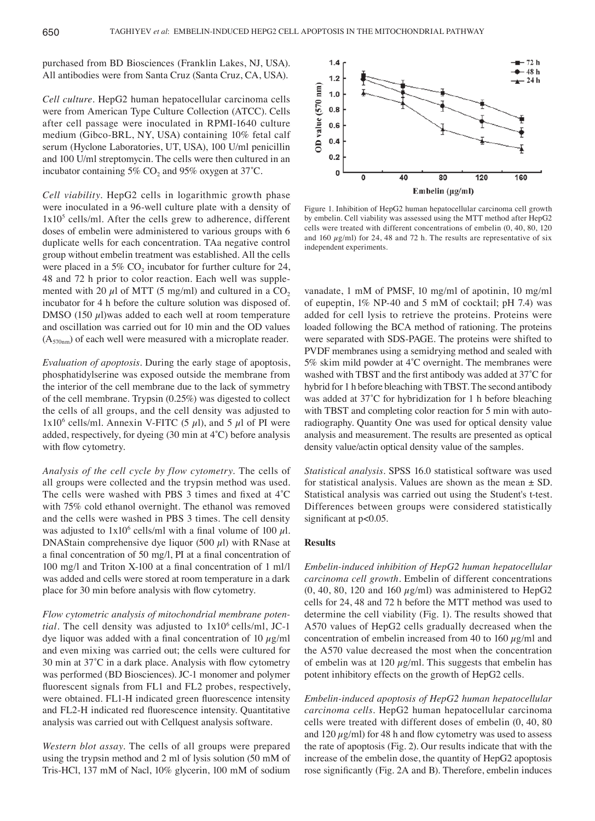purchased from BD Biosciences (Franklin Lakes, NJ, USA). All antibodies were from Santa Cruz (Santa Cruz, CA, USA).

*Cell culture.* HepG2 human hepatocellular carcinoma cells were from American Type Culture Collection (ATCC). Cells after cell passage were inoculated in RPMI-1640 culture medium (Gibco-BRL, NY, USA) containing 10% fetal calf serum (Hyclone Laboratories, UT, USA), 100 U/ml penicillin and 100 U/ml streptomycin. The cells were then cultured in an incubator containing 5% CO<sub>2</sub> and 95% oxygen at  $37^{\circ}$ C.

*Cell viability.* HepG2 cells in logarithmic growth phase were inoculated in a 96-well culture plate with a density of  $1x10<sup>5</sup>$  cells/ml. After the cells grew to adherence, different doses of embelin were administered to various groups with 6 duplicate wells for each concentration. TAa negative control group without embelin treatment was established. All the cells were placed in a 5%  $CO<sub>2</sub>$  incubator for further culture for 24, 48 and 72 h prior to color reaction. Each well was supplemented with 20  $\mu$ l of MTT (5 mg/ml) and cultured in a CO<sub>2</sub> incubator for 4 h before the culture solution was disposed of. DMSO (150  $\mu$ l)was added to each well at room temperature and oscillation was carried out for 10 min and the OD values  $(A_{570nm})$  of each well were measured with a microplate reader.

*Evaluation of apoptosis.* During the early stage of apoptosis, phosphatidylserine was exposed outside the membrane from the interior of the cell membrane due to the lack of symmetry of the cell membrane. Trypsin (0.25%) was digested to collect the cells of all groups, and the cell density was adjusted to 1x10<sup>6</sup> cells/ml. Annexin V-FITC (5  $\mu$ l), and 5  $\mu$ l of PI were added, respectively, for dyeing (30 min at 4˚C) before analysis with flow cytometry.

*Analysis of the cell cycle by flow cytometry.* The cells of all groups were collected and the trypsin method was used. The cells were washed with PBS 3 times and fixed at 4˚C with 75% cold ethanol overnight. The ethanol was removed and the cells were washed in PBS 3 times. The cell density was adjusted to  $1x10^6$  cells/ml with a final volume of 100  $\mu$ l. DNAStain comprehensive dye liquor (500  $\mu$ l) with RNase at a final concentration of 50 mg/l, PI at a final concentration of 100 mg/l and Triton X-100 at a final concentration of 1 ml/l was added and cells were stored at room temperature in a dark place for 30 min before analysis with flow cytometry.

*Flow cytometric analysis of mitochondrial membrane potential*. The cell density was adjusted to  $1x10^6$  cells/ml, JC-1 dye liquor was added with a final concentration of 10  $\mu$ g/ml and even mixing was carried out; the cells were cultured for 30 min at 37˚C in a dark place. Analysis with flow cytometry was performed (BD Biosciences). JC-1 monomer and polymer fluorescent signals from FL1 and FL2 probes, respectively, were obtained. FL1-H indicated green fluorescence intensity and FL2-H indicated red fluorescence intensity. Quantitative analysis was carried out with Cellquest analysis software.

*Western blot assay.* The cells of all groups were prepared using the trypsin method and 2 ml of lysis solution (50 mM of Tris-HCl, 137 mM of Nacl, 10% glycerin, 100 mM of sodium



Figure 1. Inhibition of HepG2 human hepatocellular carcinoma cell growth by embelin. Cell viability was assessed using the MTT method after HepG2 cells were treated with different concentrations of embelin (0, 40, 80, 120 and 160  $\mu$ g/ml) for 24, 48 and 72 h. The results are representative of six independent experiments.

vanadate, 1 mM of PMSF, 10 mg/ml of apotinin, 10 mg/ml of eupeptin, 1% NP-40 and 5 mM of cocktail; pH 7.4) was added for cell lysis to retrieve the proteins. Proteins were loaded following the BCA method of rationing. The proteins were separated with SDS-PAGE. The proteins were shifted to PVDF membranes using a semidrying method and sealed with 5% skim mild powder at 4˚C overnight. The membranes were washed with TBST and the first antibody was added at 37˚C for hybrid for 1 h before bleaching with TBST. The second antibody was added at 37<sup>°</sup>C for hybridization for 1 h before bleaching with TBST and completing color reaction for 5 min with autoradiography. Quantity One was used for optical density value analysis and measurement. The results are presented as optical density value/actin optical density value of the samples.

*Statistical analysis.* SPSS 16.0 statistical software was used for statistical analysis. Values are shown as the mean  $\pm$  SD. Statistical analysis was carried out using the Student's t-test. Differences between groups were considered statistically significant at  $p<0.05$ .

# **Results**

*Embelin-induced inhibition of HepG2 human hepatocellular carcinoma cell growth.* Embelin of different concentrations  $(0, 40, 80, 120, 160 \mu g/ml)$  was administered to HepG2 cells for 24, 48 and 72 h before the MTT method was used to determine the cell viability (Fig. 1). The results showed that A570 values of HepG2 cells gradually decreased when the concentration of embelin increased from 40 to 160  $\mu$ g/ml and the A570 value decreased the most when the concentration of embelin was at 120  $\mu$ g/ml. This suggests that embelin has potent inhibitory effects on the growth of HepG2 cells.

*Embelin-induced apoptosis of HepG2 human hepatocellular carcinoma cells.* HepG2 human hepatocellular carcinoma cells were treated with different doses of embelin (0, 40, 80 and  $120 \mu g/ml$ ) for 48 h and flow cytometry was used to assess the rate of apoptosis (Fig. 2). Our results indicate that with the increase of the embelin dose, the quantity of HepG2 apoptosis rose significantly (Fig. 2A and B). Therefore, embelin induces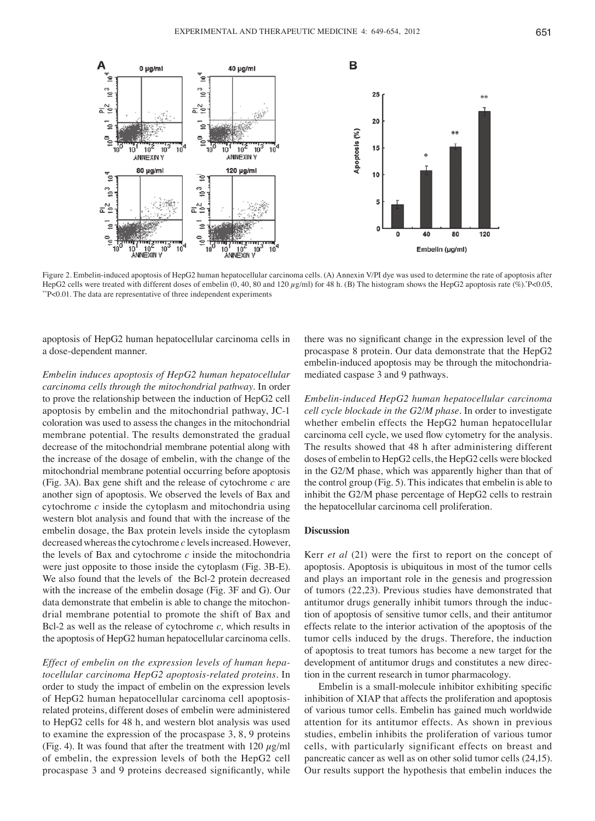

Figure 2. Embelin-induced apoptosis of HepG2 human hepatocellular carcinoma cells. (A) Annexin V/PI dye was used to determine the rate of apoptosis after HepG2 cells were treated with different doses of embelin (0, 40, 80 and 120  $\mu$ g/ml) for 48 h. (B) The histogram shows the HepG2 apoptosis rate (%).\*P<0.05, \*\*P<0.01. The data are representative of three independent experiments

apoptosis of HepG2 human hepatocellular carcinoma cells in a dose-dependent manner.

*Embelin induces apoptosis of HepG2 human hepatocellular carcinoma cells through the mitochondrial pathway.* In order to prove the relationship between the induction of HepG2 cell apoptosis by embelin and the mitochondrial pathway, JC-1 coloration was used to assess the changes in the mitochondrial membrane potential. The results demonstrated the gradual decrease of the mitochondrial membrane potential along with the increase of the dosage of embelin, with the change of the mitochondrial membrane potential occurring before apoptosis (Fig. 3A). Bax gene shift and the release of cytochrome *c* are another sign of apoptosis. We observed the levels of Bax and cytochrome *c* inside the cytoplasm and mitochondria using western blot analysis and found that with the increase of the embelin dosage, the Bax protein levels inside the cytoplasm decreased whereas the cytochrome *c* levels increased. However, the levels of Bax and cytochrome *c* inside the mitochondria were just opposite to those inside the cytoplasm (Fig. 3B-E). We also found that the levels of the Bcl-2 protein decreased with the increase of the embelin dosage (Fig. 3F and G). Our data demonstrate that embelin is able to change the mitochondrial membrane potential to promote the shift of Bax and Bcl-2 as well as the release of cytochrome *c,* which results in the apoptosis of HepG2 human hepatocellular carcinoma cells.

*Effect of embelin on the expression levels of human hepatocellular carcinoma HepG2 apoptosis-related proteins.* In order to study the impact of embelin on the expression levels of HepG2 human hepatocellular carcinoma cell apoptosisrelated proteins, different doses of embelin were administered to HepG2 cells for 48 h, and western blot analysis was used to examine the expression of the procaspase 3, 8, 9 proteins (Fig. 4). It was found that after the treatment with  $120 \mu g/ml$ of embelin, the expression levels of both the HepG2 cell procaspase 3 and 9 proteins decreased significantly, while there was no significant change in the expression level of the procaspase 8 protein. Our data demonstrate that the HepG2 embelin-induced apoptosis may be through the mitochondriamediated caspase 3 and 9 pathways.

*Embelin-induced HepG2 human hepatocellular carcinoma cell cycle blockade in the G2/M phase.* In order to investigate whether embelin effects the HepG2 human hepatocellular carcinoma cell cycle, we used flow cytometry for the analysis. The results showed that 48 h after administering different doses of embelin to HepG2 cells, the HepG2 cells were blocked in the G2/M phase, which was apparently higher than that of the control group (Fig. 5). This indicates that embelin is able to inhibit the G2/M phase percentage of HepG2 cells to restrain the hepatocellular carcinoma cell proliferation.

#### **Discussion**

Kerr *et al* (21) were the first to report on the concept of apoptosis. Apoptosis is ubiquitous in most of the tumor cells and plays an important role in the genesis and progression of tumors (22,23). Previous studies have demonstrated that antitumor drugs generally inhibit tumors through the induction of apoptosis of sensitive tumor cells, and their antitumor effects relate to the interior activation of the apoptosis of the tumor cells induced by the drugs. Therefore, the induction of apoptosis to treat tumors has become a new target for the development of antitumor drugs and constitutes a new direction in the current research in tumor pharmacology.

Embelin is a small-molecule inhibitor exhibiting specific inhibition of XIAP that affects the proliferation and apoptosis of various tumor cells. Embelin has gained much worldwide attention for its antitumor effects. As shown in previous studies, embelin inhibits the proliferation of various tumor cells, with particularly significant effects on breast and pancreatic cancer as well as on other solid tumor cells (24,15). Our results support the hypothesis that embelin induces the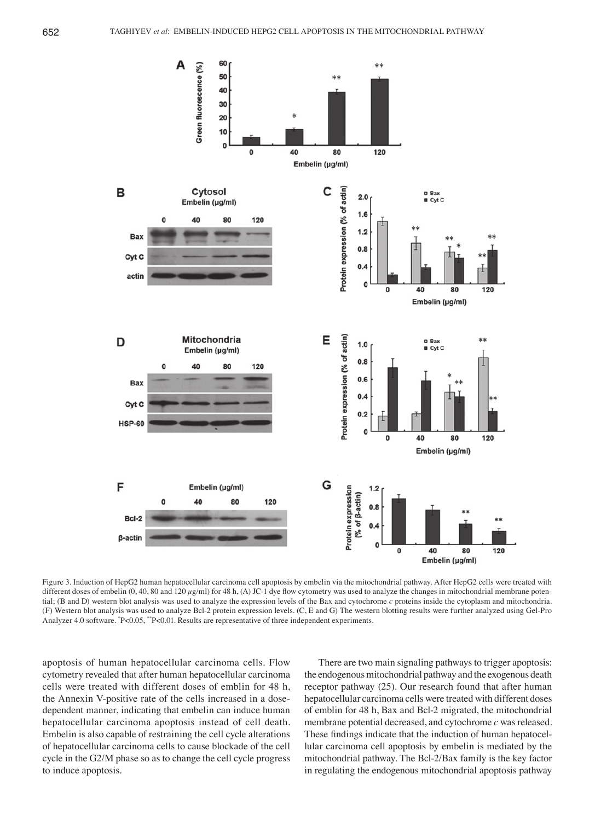

Figure 3. Induction of HepG2 human hepatocellular carcinoma cell apoptosis by embelin via the mitochondrial pathway. After HepG2 cells were treated with different doses of embelin  $(0, 40, 80$  and  $120 \mu\text{g/ml})$  for 48 h, (A) JC-1 dye flow cytometry was used to analyze the changes in mitochondrial membrane potential; (B and D) western blot analysis was used to analyze the expression levels of the Bax and cytochrome *c* proteins inside the cytoplasm and mitochondria. (F) Western blot analysis was used to analyze Bcl-2 protein expression levels. (C, E and G) The western blotting results were further analyzed using Gel-Pro Analyzer 4.0 software. \* P<0.05, \*\*P<0.01. Results are representative of three independent experiments.

apoptosis of human hepatocellular carcinoma cells. Flow cytometry revealed that after human hepatocellular carcinoma cells were treated with different doses of emblin for 48 h, the Annexin V-positive rate of the cells increased in a dosedependent manner, indicating that embelin can induce human hepatocellular carcinoma apoptosis instead of cell death. Embelin is also capable of restraining the cell cycle alterations of hepatocellular carcinoma cells to cause blockade of the cell cycle in the G2/M phase so as to change the cell cycle progress to induce apoptosis.

There are two main signaling pathways to trigger apoptosis: the endogenous mitochondrial pathway and the exogenous death receptor pathway (25). Our research found that after human hepatocellular carcinoma cells were treated with different doses of emblin for 48 h, Bax and Bcl-2 migrated, the mitochondrial membrane potential decreased, and cytochrome *c* was released. These findings indicate that the induction of human hepatocellular carcinoma cell apoptosis by embelin is mediated by the mitochondrial pathway. The Bcl-2/Bax family is the key factor in regulating the endogenous mitochondrial apoptosis pathway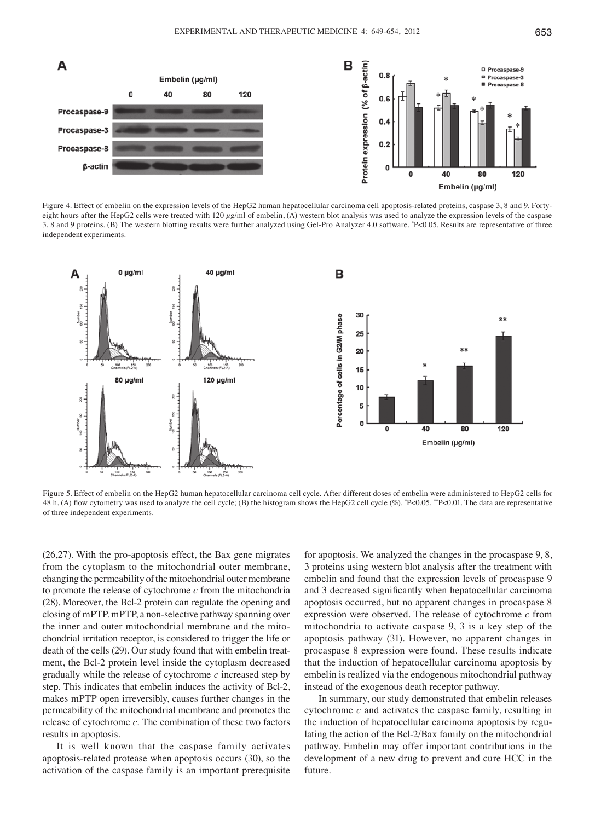

Figure 4. Effect of embelin on the expression levels of the HepG2 human hepatocellular carcinoma cell apoptosis-related proteins, caspase 3, 8 and 9. Fortyeight hours after the HepG2 cells were treated with 120  $\mu$ g/ml of embelin, (A) western blot analysis was used to analyze the expression levels of the caspase 3, 8 and 9 proteins. (B) The western blotting results were further analyzed using Gel-Pro Analyzer 4.0 software. \* P<0.05. Results are representative of three independent experiments.



Figure 5. Effect of embelin on the HepG2 human hepatocellular carcinoma cell cycle. After different doses of embelin were administered to HepG2 cells for 48 h, (A) flow cytometry was used to analyze the cell cycle; (B) the histogram shows the HepG2 cell cycle (%). "P<0.05, "P<0.01. The data are representative of three independent experiments.

(26,27). With the pro-apoptosis effect, the Bax gene migrates from the cytoplasm to the mitochondrial outer membrane, changing the permeability of the mitochondrial outer membrane to promote the release of cytochrome *c* from the mitochondria (28). Moreover, the Bcl-2 protein can regulate the opening and closing of mPTP. mPTP, a non-selective pathway spanning over the inner and outer mitochondrial membrane and the mitochondrial irritation receptor, is considered to trigger the life or death of the cells (29). Our study found that with embelin treatment, the Bcl-2 protein level inside the cytoplasm decreased gradually while the release of cytochrome *c* increased step by step. This indicates that embelin induces the activity of Bcl-2, makes mPTP open irreversibly, causes further changes in the permeability of the mitochondrial membrane and promotes the release of cytochrome *c*. The combination of these two factors results in apoptosis.

It is well known that the caspase family activates apoptosis-related protease when apoptosis occurs (30), so the activation of the caspase family is an important prerequisite

for apoptosis. We analyzed the changes in the procaspase 9, 8, 3 proteins using western blot analysis after the treatment with embelin and found that the expression levels of procaspase 9 and 3 decreased significantly when hepatocellular carcinoma apoptosis occurred, but no apparent changes in procaspase 8 expression were observed. The release of cytochrome *c* from mitochondria to activate caspase 9, 3 is a key step of the apoptosis pathway (31). However, no apparent changes in procaspase 8 expression were found. These results indicate that the induction of hepatocellular carcinoma apoptosis by embelin is realized via the endogenous mitochondrial pathway instead of the exogenous death receptor pathway.

In summary, our study demonstrated that embelin releases cytochrome *c* and activates the caspase family, resulting in the induction of hepatocellular carcinoma apoptosis by regulating the action of the Bcl-2/Bax family on the mitochondrial pathway. Embelin may offer important contributions in the development of a new drug to prevent and cure HCC in the future.